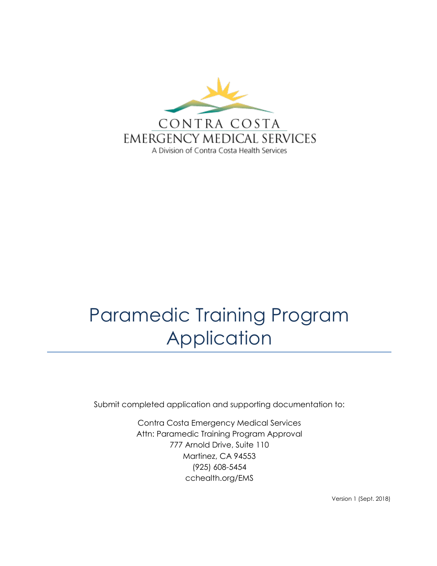

Submit completed application and supporting documentation to:

Contra Costa Emergency Medical Services Attn: Paramedic Training Program Approval 777 Arnold Drive, Suite 110 Martinez, CA 94553 (925) 608-5454 cchealth.org/EMS

Version 1 (Sept. 2018)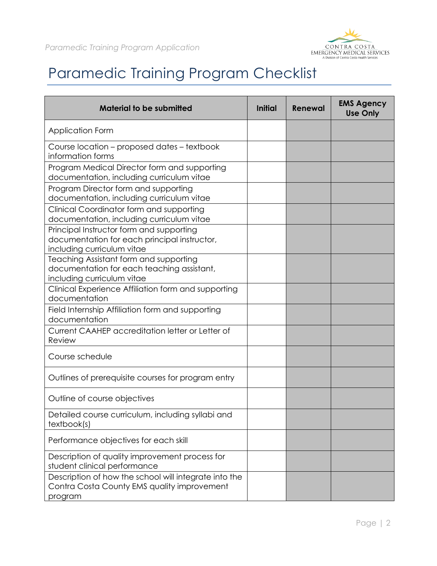

### Paramedic Training Program Checklist

| <b>Material to be submitted</b>                                                                                        | <b>Initial</b> | Renewal | <b>EMS Agency</b><br><b>Use Only</b> |
|------------------------------------------------------------------------------------------------------------------------|----------------|---------|--------------------------------------|
| <b>Application Form</b>                                                                                                |                |         |                                      |
| Course location – proposed dates – textbook<br>information forms                                                       |                |         |                                      |
| Program Medical Director form and supporting<br>documentation, including curriculum vitae                              |                |         |                                      |
| Program Director form and supporting<br>documentation, including curriculum vitae                                      |                |         |                                      |
| Clinical Coordinator form and supporting<br>documentation, including curriculum vitae                                  |                |         |                                      |
| Principal Instructor form and supporting<br>documentation for each principal instructor,<br>including curriculum vitae |                |         |                                      |
| Teaching Assistant form and supporting<br>documentation for each teaching assistant,<br>including curriculum vitae     |                |         |                                      |
| Clinical Experience Affiliation form and supporting<br>documentation                                                   |                |         |                                      |
| Field Internship Affiliation form and supporting<br>documentation                                                      |                |         |                                      |
| Current CAAHEP accreditation letter or Letter of<br>Review                                                             |                |         |                                      |
| Course schedule                                                                                                        |                |         |                                      |
| Outlines of prerequisite courses for program entry                                                                     |                |         |                                      |
| Outline of course objectives                                                                                           |                |         |                                      |
| Detailed course curriculum, including syllabi and<br>textbook(s)                                                       |                |         |                                      |
| Performance objectives for each skill                                                                                  |                |         |                                      |
| Description of quality improvement process for<br>student clinical performance                                         |                |         |                                      |
| Description of how the school will integrate into the<br>Contra Costa County EMS quality improvement<br>program        |                |         |                                      |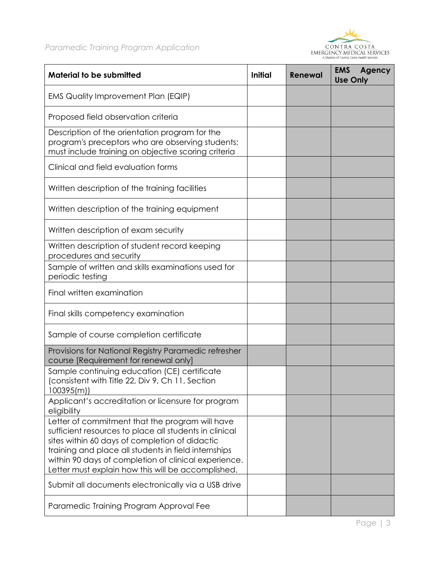



| <b>Material to be submitted</b>                                                                                                                                                                                                                                                                                                   | <b>Initial</b> | Renewal | <b>EMS</b><br>Agency<br><b>Use Only</b> |
|-----------------------------------------------------------------------------------------------------------------------------------------------------------------------------------------------------------------------------------------------------------------------------------------------------------------------------------|----------------|---------|-----------------------------------------|
| EMS Quality Improvement Plan (EQIP)                                                                                                                                                                                                                                                                                               |                |         |                                         |
| Proposed field observation criteria                                                                                                                                                                                                                                                                                               |                |         |                                         |
| Description of the orientation program for the<br>program's preceptors who are observing students;<br>must include training on objective scoring criteria                                                                                                                                                                         |                |         |                                         |
| Clinical and field evaluation forms                                                                                                                                                                                                                                                                                               |                |         |                                         |
| Written description of the training facilities                                                                                                                                                                                                                                                                                    |                |         |                                         |
| Written description of the training equipment                                                                                                                                                                                                                                                                                     |                |         |                                         |
| Written description of exam security                                                                                                                                                                                                                                                                                              |                |         |                                         |
| Written description of student record keeping<br>procedures and security                                                                                                                                                                                                                                                          |                |         |                                         |
| Sample of written and skills examinations used for<br>periodic testing                                                                                                                                                                                                                                                            |                |         |                                         |
| Final written examination                                                                                                                                                                                                                                                                                                         |                |         |                                         |
| Final skills competency examination                                                                                                                                                                                                                                                                                               |                |         |                                         |
| Sample of course completion certificate                                                                                                                                                                                                                                                                                           |                |         |                                         |
| Provisions for National Registry Paramedic refresher<br>course [Requirement for renewal only]                                                                                                                                                                                                                                     |                |         |                                         |
| Sample continuing education (CE) certificate<br>consistent with Title 22, Div 9, Ch 11, Section<br>100395(m)                                                                                                                                                                                                                      |                |         |                                         |
| Applicant's accreditation or licensure for program<br>eligibility                                                                                                                                                                                                                                                                 |                |         |                                         |
| Letter of commitment that the program will have<br>sufficient resources to place all students in clinical<br>sites within 60 days of completion of didactic<br>training and place all students in field internships<br>within 90 days of completion of clinical experience.<br>Letter must explain how this will be accomplished. |                |         |                                         |
| Submit all documents electronically via a USB drive                                                                                                                                                                                                                                                                               |                |         |                                         |
| Paramedic Training Program Approval Fee                                                                                                                                                                                                                                                                                           |                |         |                                         |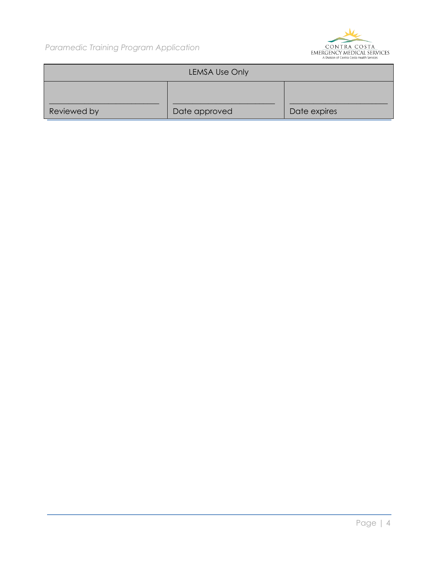

|             | <b>LEMSA Use Only</b> |              |
|-------------|-----------------------|--------------|
| Reviewed by | Date approved         | Date expires |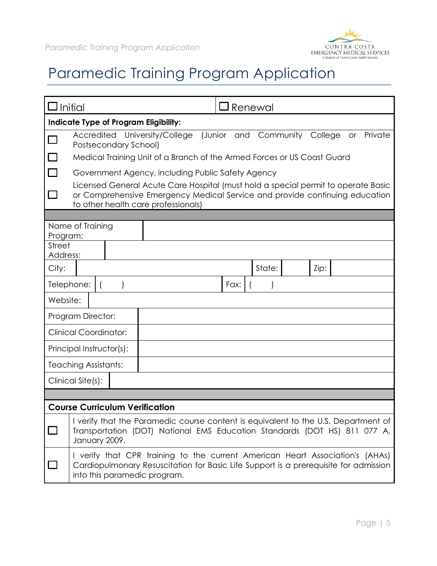

|                           | Initial                               |                                                                                                                                                                       |             | <b>J</b> Renewal |           |         |    |         |
|---------------------------|---------------------------------------|-----------------------------------------------------------------------------------------------------------------------------------------------------------------------|-------------|------------------|-----------|---------|----|---------|
|                           | Indicate Type of Program Eligibility: |                                                                                                                                                                       |             |                  |           |         |    |         |
|                           |                                       | Accredited University/College                                                                                                                                         | (Junior and |                  | Community | College | or | Private |
|                           | <b>Postsecondary School)</b>          | Medical Training Unit of a Branch of the Armed Forces or US Coast Guard                                                                                               |             |                  |           |         |    |         |
|                           |                                       | Government Agency, including Public Safety Agency                                                                                                                     |             |                  |           |         |    |         |
|                           |                                       | Licensed General Acute Care Hospital (must hold a special permit to operate Basic                                                                                     |             |                  |           |         |    |         |
|                           |                                       | or Comprehensive Emergency Medical Service and provide continuing education                                                                                           |             |                  |           |         |    |         |
|                           |                                       | to other health care professionals)                                                                                                                                   |             |                  |           |         |    |         |
|                           | Name of Training                      |                                                                                                                                                                       |             |                  |           |         |    |         |
| Program:<br><b>Street</b> |                                       |                                                                                                                                                                       |             |                  |           |         |    |         |
| Address:                  |                                       |                                                                                                                                                                       |             |                  |           |         |    |         |
| City:                     |                                       |                                                                                                                                                                       |             | State:           |           | Zip:    |    |         |
|                           | Telephone:                            |                                                                                                                                                                       | Fax:        |                  |           |         |    |         |
| Website:                  |                                       |                                                                                                                                                                       |             |                  |           |         |    |         |
|                           | Program Director:                     |                                                                                                                                                                       |             |                  |           |         |    |         |
|                           | <b>Clinical Coordinator:</b>          |                                                                                                                                                                       |             |                  |           |         |    |         |
|                           | Principal Instructor(s):              |                                                                                                                                                                       |             |                  |           |         |    |         |
|                           | <b>Teaching Assistants:</b>           |                                                                                                                                                                       |             |                  |           |         |    |         |
|                           | Clinical Site(s):                     |                                                                                                                                                                       |             |                  |           |         |    |         |
|                           |                                       |                                                                                                                                                                       |             |                  |           |         |    |         |
|                           | <b>Course Curriculum Verification</b> |                                                                                                                                                                       |             |                  |           |         |    |         |
|                           | January 2009.                         | I verify that the Paramedic course content is equivalent to the U.S. Department of<br>Transportation (DOT) National EMS Education Standards (DOT HS) 811 077 A,       |             |                  |           |         |    |         |
|                           | into this paramedic program.          | I verify that CPR training to the current American Heart Association's (AHAs)<br>Cardiopulmonary Resuscitation for Basic Life Support is a prerequisite for admission |             |                  |           |         |    |         |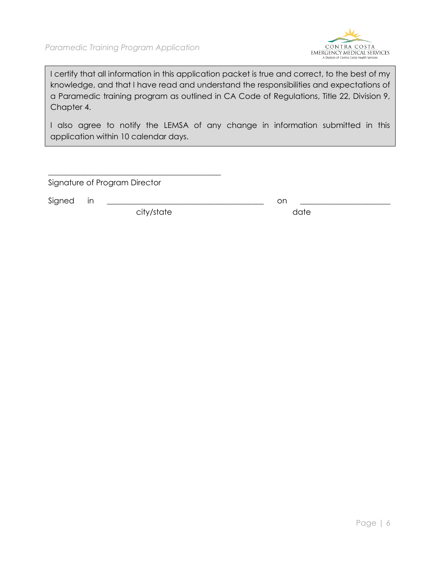

I certify that all information in this application packet is true and correct, to the best of my knowledge, and that I have read and understand the responsibilities and expectations of a Paramedic training program as outlined in CA Code of Regulations, Title 22, Division 9, Chapter 4.

I also agree to notify the LEMSA of any change in information submitted in this application within 10 calendar days.

Signature of Program Director

Signed in \_\_\_\_\_\_\_\_\_\_\_\_\_\_\_\_\_\_\_\_\_\_\_\_\_\_\_\_\_\_\_\_\_\_\_\_\_\_\_\_ on \_\_\_\_\_\_\_\_\_\_\_\_\_\_\_\_\_\_\_\_\_\_\_

city/state date

\_\_\_\_\_\_\_\_\_\_\_\_\_\_\_\_\_\_\_\_\_\_\_\_\_\_\_\_\_\_\_\_\_\_\_\_\_\_\_\_\_\_\_\_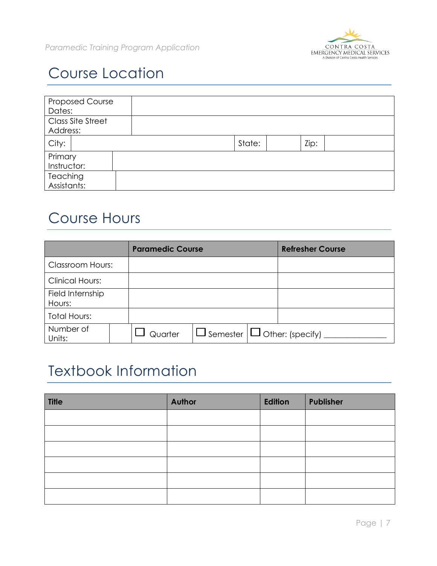

## Course Location

| <b>Proposed Course</b><br>Dates: |        |      |  |
|----------------------------------|--------|------|--|
| Class Site Street<br>Address:    |        |      |  |
| City:                            | State: | Zip: |  |
| Primary<br>Instructor:           |        |      |  |
| Teaching<br>Assistants:          |        |      |  |

#### Course Hours

|                            | <b>Paramedic Course</b> |                                           | <b>Refresher Course</b> |
|----------------------------|-------------------------|-------------------------------------------|-------------------------|
| <b>Classroom Hours:</b>    |                         |                                           |                         |
| <b>Clinical Hours:</b>     |                         |                                           |                         |
| Field Internship<br>Hours: |                         |                                           |                         |
| <b>Total Hours:</b>        |                         |                                           |                         |
| Number of<br>Units:        | Quarter                 | $\Box$ Semester $\Box$ Other: (specify) _ |                         |

#### Textbook Information

| <b>Title</b> | <b>Author</b> | Edition | Publisher |
|--------------|---------------|---------|-----------|
|              |               |         |           |
|              |               |         |           |
|              |               |         |           |
|              |               |         |           |
|              |               |         |           |
|              |               |         |           |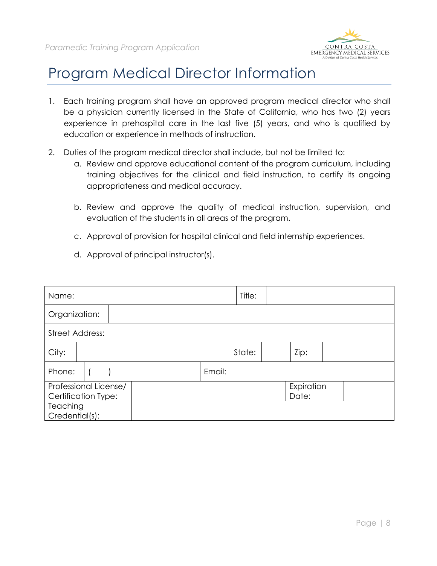

#### Program Medical Director Information

- 1. Each training program shall have an approved program medical director who shall be a physician currently licensed in the State of California, who has two (2) years experience in prehospital care in the last five (5) years, and who is qualified by education or experience in methods of instruction.
- 2. Duties of the program medical director shall include, but not be limited to:
	- a. Review and approve educational content of the program curriculum, including training objectives for the clinical and field instruction, to certify its ongoing appropriateness and medical accuracy.
	- b. Review and approve the quality of medical instruction, supervision, and evaluation of the students in all areas of the program.
	- c. Approval of provision for hospital clinical and field internship experiences.
	- d. Approval of principal instructor(s).

| Name:                                        |  |        | Title: |                     |  |  |
|----------------------------------------------|--|--------|--------|---------------------|--|--|
| Organization:                                |  |        |        |                     |  |  |
| <b>Street Address:</b>                       |  |        |        |                     |  |  |
| City:                                        |  |        | State: | Zip:                |  |  |
| Phone:                                       |  | Email: |        |                     |  |  |
| Professional License/<br>Certification Type: |  |        |        | Expiration<br>Date: |  |  |
| <b>Teaching</b><br>Credential(s):            |  |        |        |                     |  |  |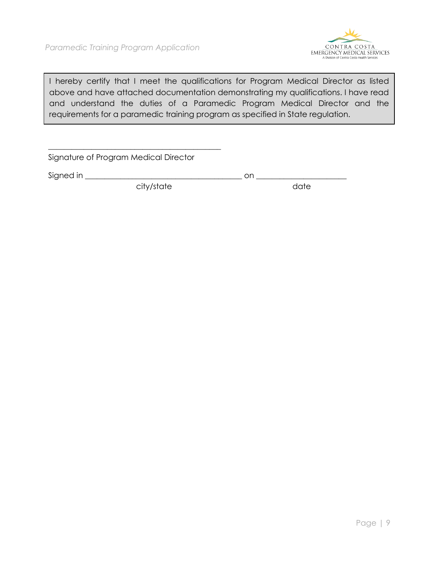

I hereby certify that I meet the qualifications for Program Medical Director as listed above and have attached documentation demonstrating my qualifications. I have read and understand the duties of a Paramedic Program Medical Director and the requirements for a paramedic training program as specified in State regulation.

Signature of Program Medical Director

\_\_\_\_\_\_\_\_\_\_\_\_\_\_\_\_\_\_\_\_\_\_\_\_\_\_\_\_\_\_\_\_\_\_\_\_\_\_\_\_\_\_\_\_

Signed in \_\_\_\_\_\_\_\_\_\_\_\_\_\_\_\_\_\_\_\_\_\_\_\_\_\_\_\_\_\_\_\_\_\_\_\_\_\_\_\_ on \_\_\_\_\_\_\_\_\_\_\_\_\_\_\_\_\_\_\_\_\_\_\_

city/state date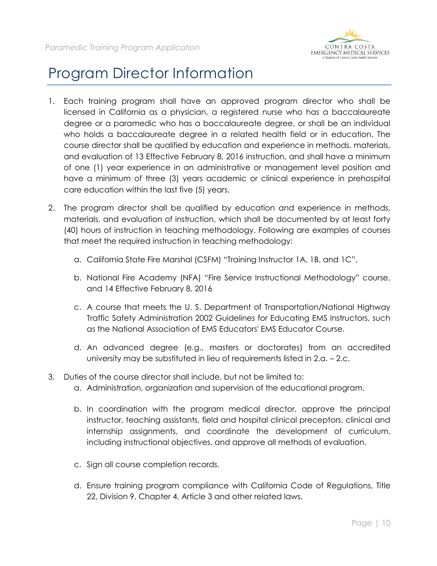

### Program Director Information

- 1. Each training program shall have an approved program director who shall be licensed in California as a physician, a registered nurse who has a baccalaureate degree or a paramedic who has a baccalaureate degree, or shall be an individual who holds a baccalaureate degree in a related health field or in education. The course director shall be qualified by education and experience in methods, materials, and evaluation of 13 Effective February 8, 2016 instruction, and shall have a minimum of one (1) year experience in an administrative or management level position and have a minimum of three (3) years academic or clinical experience in prehospital care education within the last five (5) years.
- 2. The program director shall be qualified by education and experience in methods, materials, and evaluation of instruction, which shall be documented by at least forty (40) hours of instruction in teaching methodology. Following are examples of courses that meet the required instruction in teaching methodology:
	- a. California State Fire Marshal (CSFM) "Training Instructor 1A, 1B, and 1C",
	- b. National Fire Academy (NFA) "Fire Service Instructional Methodology" course, and 14 Effective February 8, 2016
	- c. A course that meets the U. S. Department of Transportation/National Highway Traffic Safety Administration 2002 Guidelines for Educating EMS Instructors, such as the National Association of EMS Educators' EMS Educator Course.
	- d. An advanced degree (e.g., masters or doctorates) from an accredited university may be substituted in lieu of requirements listed in 2.a. – 2.c.
- 3. Duties of the course director shall include, but not be limited to:
	- a. Administration, organization and supervision of the educational program.
	- b. In coordination with the program medical director, approve the principal instructor, teaching assistants, field and hospital clinical preceptors, clinical and internship assignments, and coordinate the development of curriculum, including instructional objectives, and approve all methods of evaluation.
	- c. Sign all course completion records.
	- d. Ensure training program compliance with California Code of Regulations, Title 22, Division 9, Chapter 4, Article 3 and other related laws.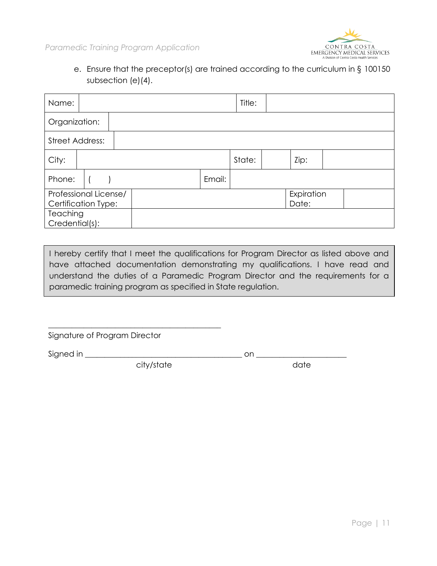

e. Ensure that the preceptor(s) are trained according to the curriculum in § 100150 subsection (e)(4).

| Name:                                        |  |        | Title: |                     |  |  |
|----------------------------------------------|--|--------|--------|---------------------|--|--|
| Organization:                                |  |        |        |                     |  |  |
| <b>Street Address:</b>                       |  |        |        |                     |  |  |
| City:                                        |  |        | State: | Zip:                |  |  |
| Phone:                                       |  | Email: |        |                     |  |  |
| Professional License/<br>Certification Type: |  |        |        | Expiration<br>Date: |  |  |
| <b>Teaching</b><br>Credential(s):            |  |        |        |                     |  |  |

I hereby certify that I meet the qualifications for Program Director as listed above and have attached documentation demonstrating my qualifications. I have read and understand the duties of a Paramedic Program Director and the requirements for a paramedic training program as specified in State regulation.

Signature of Program Director

 $Signed in$   $\Box$ 

city/state date

\_\_\_\_\_\_\_\_\_\_\_\_\_\_\_\_\_\_\_\_\_\_\_\_\_\_\_\_\_\_\_\_\_\_\_\_\_\_\_\_\_\_\_\_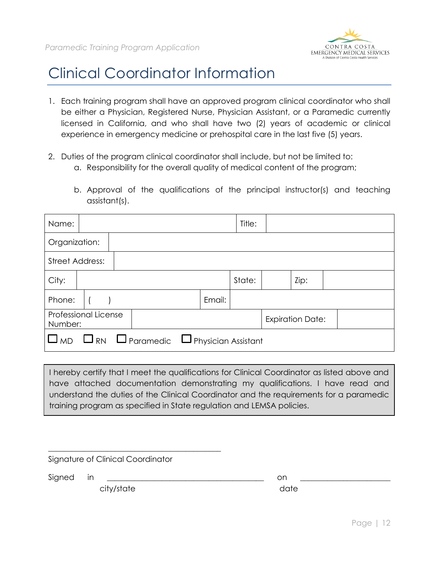

#### Clinical Coordinator Information

- 1. Each training program shall have an approved program clinical coordinator who shall be either a Physician, Registered Nurse, Physician Assistant, or a Paramedic currently licensed in California, and who shall have two (2) years of academic or clinical experience in emergency medicine or prehospital care in the last five (5) years.
- 2. Duties of the program clinical coordinator shall include, but not be limited to:
	- a. Responsibility for the overall quality of medical content of the program;
	- b. Approval of the qualifications of the principal instructor(s) and teaching assistant(s).

| Name:                           |  |                                                                 |        | Title: |                         |  |  |
|---------------------------------|--|-----------------------------------------------------------------|--------|--------|-------------------------|--|--|
| Organization:                   |  |                                                                 |        |        |                         |  |  |
| <b>Street Address:</b>          |  |                                                                 |        |        |                         |  |  |
| City:                           |  |                                                                 |        | State: | Zip:                    |  |  |
| Phone:                          |  |                                                                 | Email: |        |                         |  |  |
| Professional License<br>Number: |  |                                                                 |        |        | <b>Expiration Date:</b> |  |  |
|                                 |  | $\Box$ MD $\Box$ RN $\Box$ Paramedic $\Box$ Physician Assistant |        |        |                         |  |  |

I hereby certify that I meet the qualifications for Clinical Coordinator as listed above and have attached documentation demonstrating my qualifications. I have read and understand the duties of the Clinical Coordinator and the requirements for a paramedic training program as specified in State regulation and LEMSA policies.

Signature of Clinical Coordinator

city/state date

\_\_\_\_\_\_\_\_\_\_\_\_\_\_\_\_\_\_\_\_\_\_\_\_\_\_\_\_\_\_\_\_\_\_\_\_\_\_\_\_\_\_\_\_

Signed in \_\_\_\_\_\_\_\_\_\_\_\_\_\_\_\_\_\_\_\_\_\_\_\_\_\_\_\_\_\_\_\_\_\_\_\_\_\_\_\_ on \_\_\_\_\_\_\_\_\_\_\_\_\_\_\_\_\_\_\_\_\_\_\_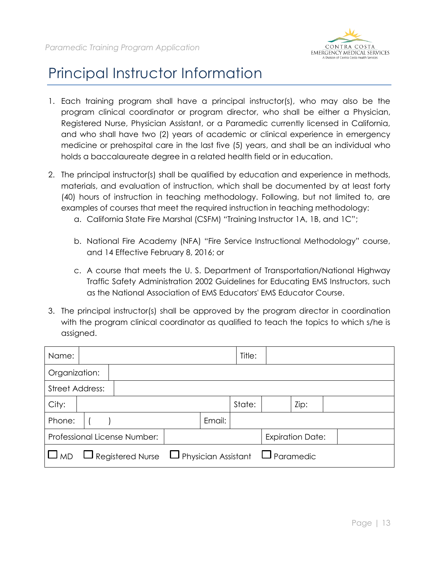

### Principal Instructor Information

- 1. Each training program shall have a principal instructor(s), who may also be the program clinical coordinator or program director, who shall be either a Physician, Registered Nurse, Physician Assistant, or a Paramedic currently licensed in California, and who shall have two (2) years of academic or clinical experience in emergency medicine or prehospital care in the last five (5) years, and shall be an individual who holds a baccalaureate degree in a related health field or in education.
- 2. The principal instructor(s) shall be qualified by education and experience in methods, materials, and evaluation of instruction, which shall be documented by at least forty (40) hours of instruction in teaching methodology. Following, but not limited to, are examples of courses that meet the required instruction in teaching methodology:
	- a. California State Fire Marshal (CSFM) "Training Instructor 1A, 1B, and 1C";
	- b. National Fire Academy (NFA) "Fire Service Instructional Methodology" course, and 14 Effective February 8, 2016; or
	- c. A course that meets the U. S. Department of Transportation/National Highway Traffic Safety Administration 2002 Guidelines for Educating EMS Instructors, such as the National Association of EMS Educators' EMS Educator Course.
- 3. The principal instructor(s) shall be approved by the program director in coordination with the program clinical coordinator as qualified to teach the topics to which s/he is assigned.

| Name:                  |                                                                     |        | Title: |                         |  |  |
|------------------------|---------------------------------------------------------------------|--------|--------|-------------------------|--|--|
| Organization:          |                                                                     |        |        |                         |  |  |
| <b>Street Address:</b> |                                                                     |        |        |                         |  |  |
| City:                  |                                                                     |        | State: | Zip:                    |  |  |
| Phone:                 |                                                                     | Email: |        |                         |  |  |
|                        | Professional License Number:                                        |        |        | <b>Expiration Date:</b> |  |  |
| <sub>I</sub> ∐ MD      | $\Box$ Registered Nurse $\Box$ Physician Assistant $\Box$ Paramedic |        |        |                         |  |  |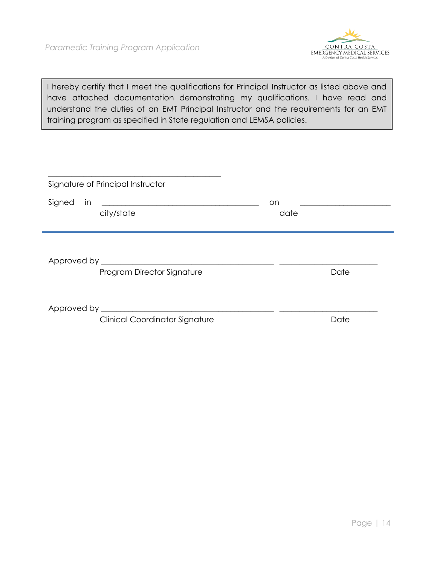

I hereby certify that I meet the qualifications for Principal Instructor as listed above and have attached documentation demonstrating my qualifications. I have read and understand the duties of an EMT Principal Instructor and the requirements for an EMT training program as specified in State regulation and LEMSA policies.

|        | Signature of Principal Instructor                    |             |  |
|--------|------------------------------------------------------|-------------|--|
| Signed | $\mathsf{in}$ $\overline{\phantom{a}}$<br>city/state | on.<br>date |  |
|        |                                                      |             |  |
|        |                                                      |             |  |
|        | Program Director Signature                           | Date        |  |
|        |                                                      |             |  |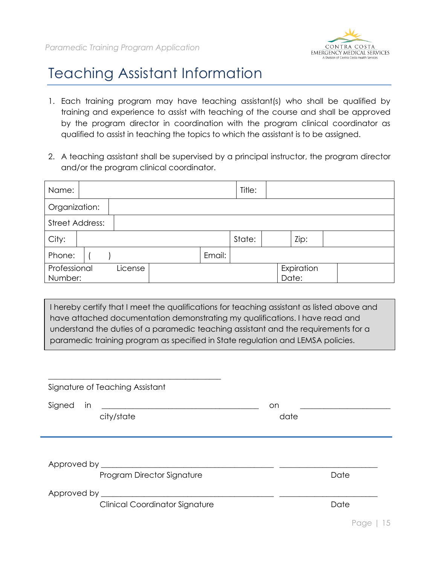

#### Teaching Assistant Information

- 1. Each training program may have teaching assistant(s) who shall be qualified by training and experience to assist with teaching of the course and shall be approved by the program director in coordination with the program clinical coordinator as qualified to assist in teaching the topics to which the assistant is to be assigned.
- 2. A teaching assistant shall be supervised by a principal instructor, the program director and/or the program clinical coordinator.

| Name:                   |         |        | Title: |                     |  |  |
|-------------------------|---------|--------|--------|---------------------|--|--|
| Organization:           |         |        |        |                     |  |  |
| <b>Street Address:</b>  |         |        |        |                     |  |  |
| City:                   |         |        | State: | Zip:                |  |  |
| Phone:                  |         | Email: |        |                     |  |  |
| Professional<br>Number: | License |        |        | Expiration<br>Date: |  |  |

I hereby certify that I meet the qualifications for teaching assistant as listed above and have attached documentation demonstrating my qualifications. I have read and understand the duties of a paramedic teaching assistant and the requirements for a paramedic training program as specified in State regulation and LEMSA policies.

| Signature of Teaching Assistant       |             |                                                                                 |
|---------------------------------------|-------------|---------------------------------------------------------------------------------|
| Signed<br>in<br>city/state            | on.<br>date | the contract of the contract of the contract of the contract of the contract of |
| Program Director Signature            |             | Date                                                                            |
| <b>Clinical Coordinator Signature</b> |             | Date                                                                            |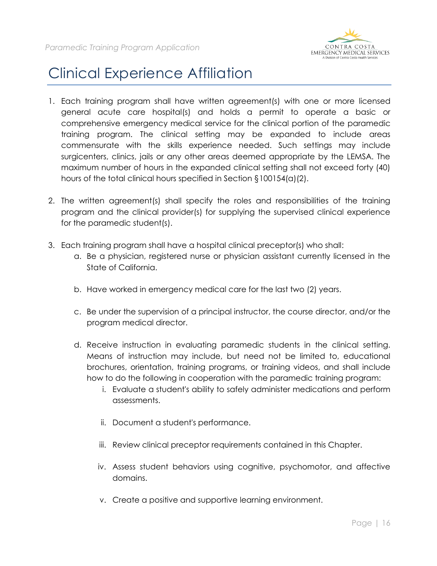

#### Clinical Experience Affiliation

- 1. Each training program shall have written agreement(s) with one or more licensed general acute care hospital(s) and holds a permit to operate a basic or comprehensive emergency medical service for the clinical portion of the paramedic training program. The clinical setting may be expanded to include areas commensurate with the skills experience needed. Such settings may include surgicenters, clinics, jails or any other areas deemed appropriate by the LEMSA. The maximum number of hours in the expanded clinical setting shall not exceed forty (40) hours of the total clinical hours specified in Section §100154(a)(2).
- 2. The written agreement(s) shall specify the roles and responsibilities of the training program and the clinical provider(s) for supplying the supervised clinical experience for the paramedic student(s).
- 3. Each training program shall have a hospital clinical preceptor(s) who shall:
	- a. Be a physician, registered nurse or physician assistant currently licensed in the State of California.
	- b. Have worked in emergency medical care for the last two (2) years.
	- c. Be under the supervision of a principal instructor, the course director, and/or the program medical director.
	- d. Receive instruction in evaluating paramedic students in the clinical setting. Means of instruction may include, but need not be limited to, educational brochures, orientation, training programs, or training videos, and shall include how to do the following in cooperation with the paramedic training program:
		- i. Evaluate a student's ability to safely administer medications and perform assessments.
		- ii. Document a student's performance.
		- iii. Review clinical preceptor requirements contained in this Chapter.
		- iv. Assess student behaviors using cognitive, psychomotor, and affective domains.
		- v. Create a positive and supportive learning environment.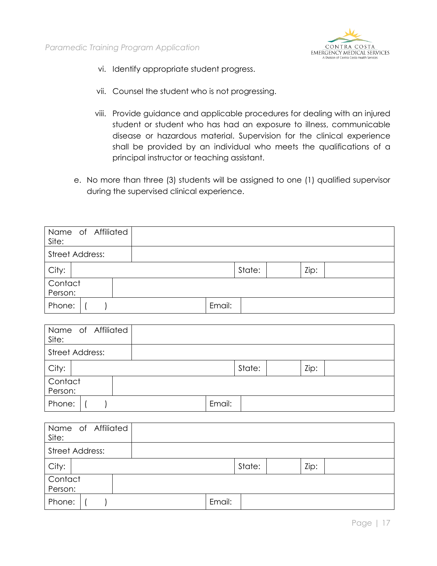

- vi. Identify appropriate student progress.
- vii. Counsel the student who is not progressing.
- viii. Provide guidance and applicable procedures for dealing with an injured student or student who has had an exposure to illness, communicable disease or hazardous material. Supervision for the clinical experience shall be provided by an individual who meets the qualifications of a principal instructor or teaching assistant.
- e. No more than three (3) students will be assigned to one (1) qualified supervisor during the supervised clinical experience.

| Name of Affiliated<br>Site: |        |        |      |  |
|-----------------------------|--------|--------|------|--|
| <b>Street Address:</b>      |        |        |      |  |
| City:                       |        | State: | Zip: |  |
| Contact<br>Person:          |        |        |      |  |
| Phone:                      | Email: |        |      |  |

| Name of Affiliated<br>Site: |        |        |      |  |
|-----------------------------|--------|--------|------|--|
| <b>Street Address:</b>      |        |        |      |  |
| City:                       |        | State: | Zip: |  |
| Contact<br>Person:          |        |        |      |  |
| Phone:                      | Email: |        |      |  |

| Name of Affiliated<br>Site: |        |      |  |
|-----------------------------|--------|------|--|
| <b>Street Address:</b>      |        |      |  |
| City:                       | State: | Zip: |  |
| Contact<br>Person:          |        |      |  |
| Phone:                      | Email: |      |  |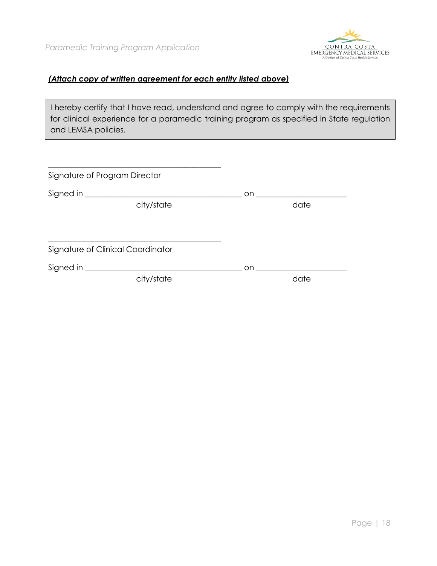

#### *(Attach copy of written agreement for each entity listed above)*

I hereby certify that I have read, understand and agree to comply with the requirements for clinical experience for a paramedic training program as specified in State regulation and LEMSA policies.

| Signature of Program Director |                                   |     |      |
|-------------------------------|-----------------------------------|-----|------|
|                               |                                   | on  |      |
|                               | city/state                        |     | date |
|                               |                                   |     |      |
|                               |                                   |     |      |
|                               | Signature of Clinical Coordinator |     |      |
|                               |                                   | on. |      |
|                               | city/state                        |     | date |
|                               |                                   |     |      |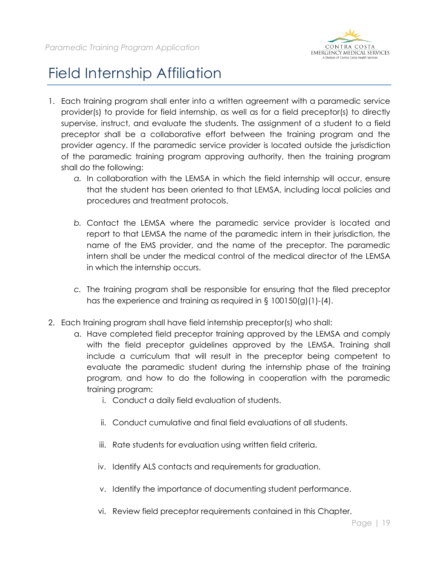

### Field Internship Affiliation

- 1. Each training program shall enter into a written agreement with a paramedic service provider(s) to provide for field internship, as well as for a field preceptor(s) to directly supervise, instruct, and evaluate the students. The assignment of a student to a field preceptor shall be a collaborative effort between the training program and the provider agency. If the paramedic service provider is located outside the jurisdiction of the paramedic training program approving authority, then the training program shall do the following:
	- *a.* In collaboration with the LEMSA in which the field internship will occur, ensure that the student has been oriented to that LEMSA, including local policies and procedures and treatment protocols.
	- *b.* Contact the LEMSA where the paramedic service provider is located and report to that LEMSA the name of the paramedic intern in their jurisdiction, the name of the EMS provider, and the name of the preceptor. The paramedic intern shall be under the medical control of the medical director of the LEMSA in which the internship occurs.
	- *c.* The training program shall be responsible for ensuring that the filed preceptor has the experience and training as required in § 100150(g)(1)-(4).
- 2. Each training program shall have field internship preceptor(s) who shall:
	- a. Have completed field preceptor training approved by the LEMSA and comply with the field preceptor guidelines approved by the LEMSA. Training shall include a curriculum that will result in the preceptor being competent to evaluate the paramedic student during the internship phase of the training program, and how to do the following in cooperation with the paramedic training program:
		- i. Conduct a daily field evaluation of students.
		- ii. Conduct cumulative and final field evaluations of all students.
		- iii. Rate students for evaluation using written field criteria.
		- iv. Identify ALS contacts and requirements for graduation.
		- v. Identify the importance of documenting student performance.
		- vi. Review field preceptor requirements contained in this Chapter.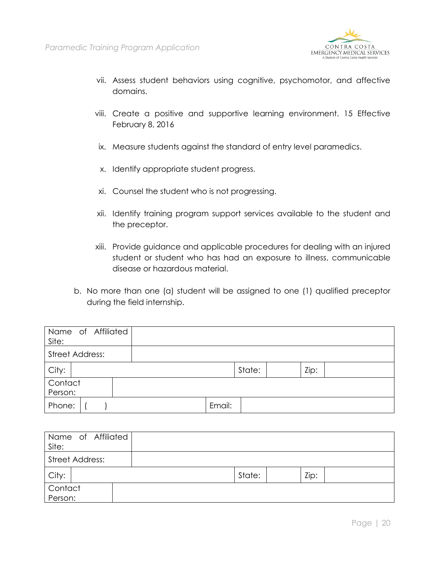

- vii. Assess student behaviors using cognitive, psychomotor, and affective domains.
- viii. Create a positive and supportive learning environment. 15 Effective February 8, 2016
- ix. Measure students against the standard of entry level paramedics.
- x. Identify appropriate student progress.
- xi. Counsel the student who is not progressing.
- xii. Identify training program support services available to the student and the preceptor.
- xiii. Provide guidance and applicable procedures for dealing with an injured student or student who has had an exposure to illness, communicable disease or hazardous material.
- b. No more than one (a) student will be assigned to one (1) qualified preceptor during the field internship.

| Name of Affiliated<br>Site: |        |      |
|-----------------------------|--------|------|
| <b>Street Address:</b>      |        |      |
| City:                       | State: | Zip: |
| Contact<br>Person:          |        |      |
| Phone:                      | Email: |      |

| Name of Affiliated<br>Site: |        |      |  |
|-----------------------------|--------|------|--|
| <b>Street Address:</b>      |        |      |  |
| City:                       | State: | Zip: |  |
| Contact                     |        |      |  |
| Person:                     |        |      |  |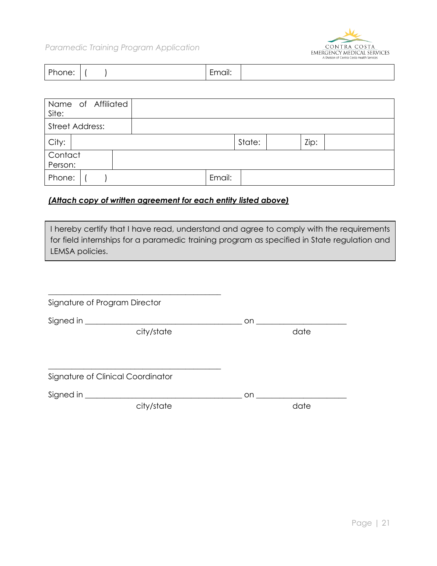

| ים<br>none: | Email: |
|-------------|--------|
|-------------|--------|

| Name of Affiliated<br>Site: |        |        |      |
|-----------------------------|--------|--------|------|
| <b>Street Address:</b>      |        |        |      |
| City:                       |        | State: | Zip: |
| Contact<br>Person:          |        |        |      |
| Phone:                      | Email: |        |      |

#### *(Attach copy of written agreement for each entity listed above)*

I hereby certify that I have read, understand and agree to comply with the requirements for field internships for a paramedic training program as specified in State regulation and LEMSA policies.

| Signature of Program Director |                                   |      |      |
|-------------------------------|-----------------------------------|------|------|
|                               | city/state                        | on i | date |
|                               |                                   |      |      |
|                               | Signature of Clinical Coordinator |      |      |
|                               | Signed in                         | on.  |      |
|                               | city/state                        |      | date |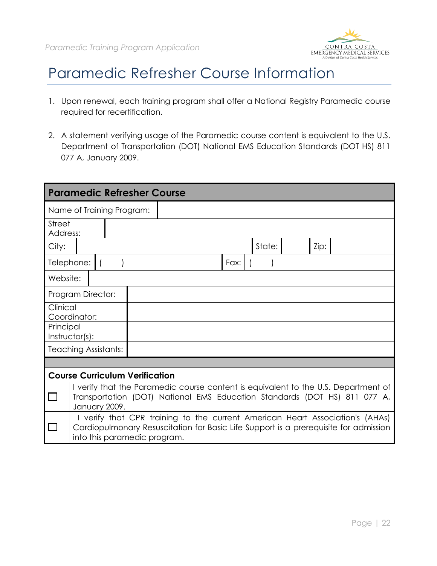

#### Paramedic Refresher Course Information

- 1. Upon renewal, each training program shall offer a National Registry Paramedic course required for recertification.
- 2. A statement verifying usage of the Paramedic course content is equivalent to the U.S. Department of Transportation (DOT) National EMS Education Standards (DOT HS) 811 077 A, January 2009.

|                             |                           | <b>Paramedic Refresher Course</b>     |                                                                                                                                                                       |      |        |      |  |
|-----------------------------|---------------------------|---------------------------------------|-----------------------------------------------------------------------------------------------------------------------------------------------------------------------|------|--------|------|--|
|                             | Name of Training Program: |                                       |                                                                                                                                                                       |      |        |      |  |
| <b>Street</b><br>Address:   |                           |                                       |                                                                                                                                                                       |      |        |      |  |
| City:                       |                           |                                       |                                                                                                                                                                       |      | State: | Zip: |  |
| Telephone:                  |                           |                                       |                                                                                                                                                                       | Fax: |        |      |  |
| Website:                    |                           |                                       |                                                                                                                                                                       |      |        |      |  |
| Program Director:           |                           |                                       |                                                                                                                                                                       |      |        |      |  |
| Clinical<br>Coordinator:    |                           |                                       |                                                                                                                                                                       |      |        |      |  |
| Principal<br>Instructor(s): |                           |                                       |                                                                                                                                                                       |      |        |      |  |
| <b>Teaching Assistants:</b> |                           |                                       |                                                                                                                                                                       |      |        |      |  |
|                             |                           |                                       |                                                                                                                                                                       |      |        |      |  |
|                             |                           | <b>Course Curriculum Verification</b> |                                                                                                                                                                       |      |        |      |  |
|                             | January 2009.             |                                       | I verify that the Paramedic course content is equivalent to the U.S. Department of<br>Transportation (DOT) National EMS Education Standards (DOT HS) 811 077 A,       |      |        |      |  |
|                             |                           | into this paramedic program.          | I verify that CPR training to the current American Heart Association's (AHAs)<br>Cardiopulmonary Resuscitation for Basic Life Support is a prerequisite for admission |      |        |      |  |